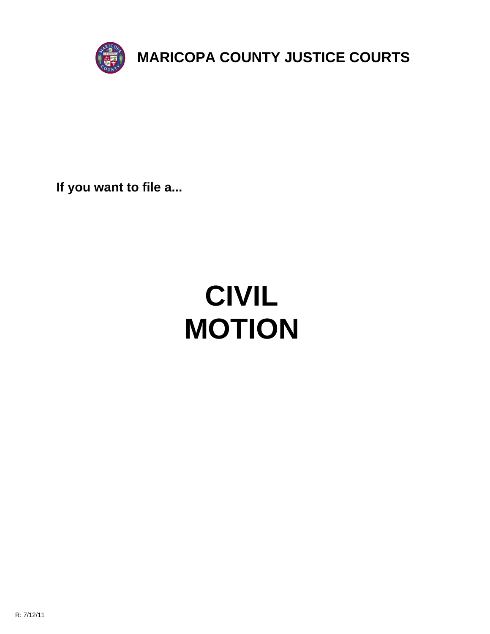

**If you want to file a...**

# **CIVIL MOTION**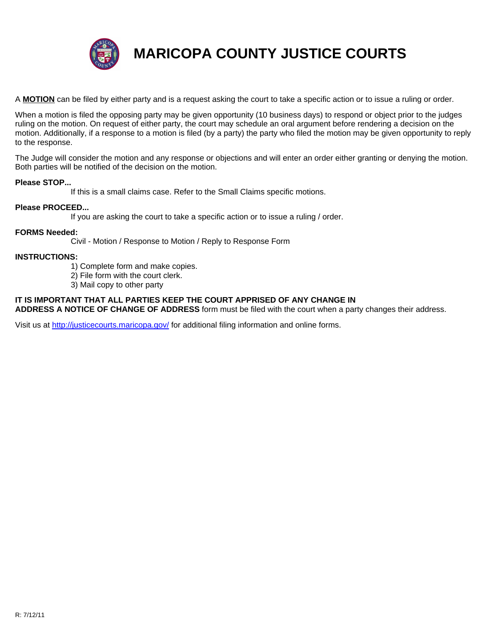

**MARICOPA COUNTY JUSTICE COURTS**

A **MOTION** can be filed by either party and is a request asking the court to take a specific action or to issue a ruling or order.

When a motion is filed the opposing party may be given opportunity (10 business days) to respond or object prior to the judges ruling on the motion. On request of either party, the court may schedule an oral argument before rendering a decision on the motion. Additionally, if a response to a motion is filed (by a party) the party who filed the motion may be given opportunity to reply to the response.

The Judge will consider the motion and any response or objections and will enter an order either granting or denying the motion. Both parties will be notified of the decision on the motion.

#### **Please STOP...**

If this is a small claims case. Refer to the Small Claims specific motions.

#### **Please PROCEED...**

If you are asking the court to take a specific action or to issue a ruling / order.

#### **FORMS Needed:**

Civil - Motion / Response to Motion / Reply to Response Form

#### **INSTRUCT[IONS:](http://justicecourts.maricopa.gov/)**

- 1) Complete form and make copies.
- 2) File form with the court clerk.
- 3) Mail copy to other party

### **IT IS IMPORTANT THAT ALL PARTIES KEEP THE COURT APPRISED OF ANY CHANGE IN**

**ADDRESS A NOTICE OF CHANGE OF ADDRESS** form must be filed with the court when a party changes their address.

Visit us at http://justicecourts.maricopa.gov/ for additional filing information and online forms.